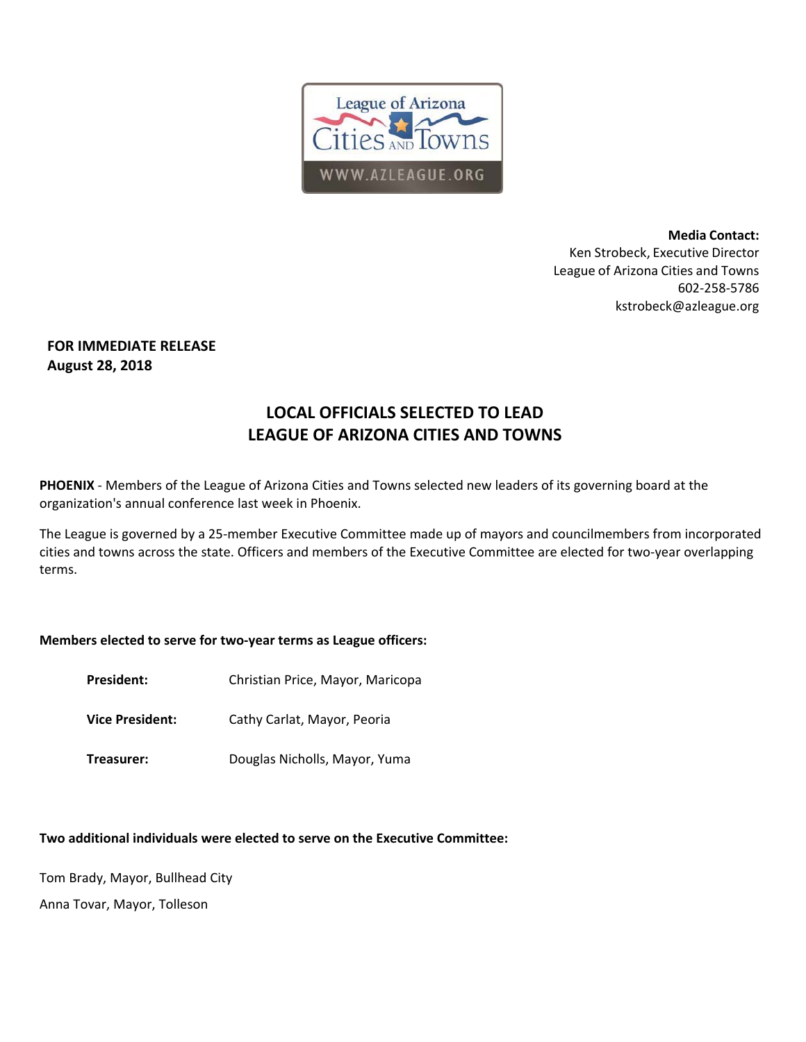

**Media Contact:**  Ken Strobeck, Executive Director League of Arizona Cities and Towns 602‐258‐5786 kstrobeck@azleague.org

## **FOR IMMEDIATE RELEASE August 28, 2018**

# **LOCAL OFFICIALS SELECTED TO LEAD LEAGUE OF ARIZONA CITIES AND TOWNS**

**PHOENIX** ‐ Members of the League of Arizona Cities and Towns selected new leaders of its governing board at the organization's annual conference last week in Phoenix.

The League is governed by a 25‐member Executive Committee made up of mayors and councilmembers from incorporated cities and towns across the state. Officers and members of the Executive Committee are elected for two-year overlapping terms.

## **Members elected to serve for two‐year terms as League officers:**

- President: Christian Price, Mayor, Maricopa
- **Vice President:** Cathy Carlat, Mayor, Peoria
- **Treasurer:** Douglas Nicholls, Mayor, Yuma

## **Two additional individuals were elected to serve on the Executive Committee:**

Tom Brady, Mayor, Bullhead City

Anna Tovar, Mayor, Tolleson